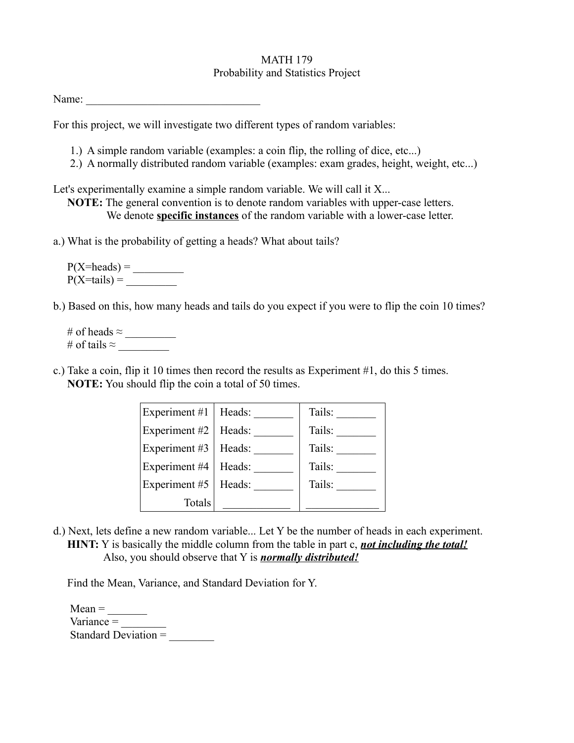## MATH 179 Probability and Statistics Project

| Name: |  |  |  |  |
|-------|--|--|--|--|
|       |  |  |  |  |

For this project, we will investigate two different types of random variables:

- 1.) A simple random variable (examples: a coin flip, the rolling of dice, etc...)
- 2.) A normally distributed random variable (examples: exam grades, height, weight, etc...)

Let's experimentally examine a simple random variable. We will call it X...

 **NOTE:** The general convention is to denote random variables with upper-case letters. We denote **specific instances** of the random variable with a lower-case letter.

a.) What is the probability of getting a heads? What about tails?

 P(X=heads) = \_\_\_\_\_\_\_\_\_  $P(X=tails) =$ 

b.) Based on this, how many heads and tails do you expect if you were to flip the coin 10 times?

 # of heads ≈ \_\_\_\_\_\_\_\_\_ # of tails  $\approx$ 

c.) Take a coin, flip it 10 times then record the results as Experiment #1, do this 5 times.  **NOTE:** You should flip the coin a total of 50 times.

| Experiment #1 $\vert$ | Heads: | Tails: |
|-----------------------|--------|--------|
| Experiment #2         | Heads: | Tails: |
| Experiment #3         | Heads: | Tails: |
| Experiment #4         | Heads: | Tails: |
| Experiment #5         | Heads: | Tails: |
| Totals                |        |        |

d.) Next, lets define a new random variable... Let Y be the number of heads in each experiment. **HINT:** Y is basically the middle column from the table in part c, *not including the total!* Also, you should observe that Y is *normally distributed!*

Find the Mean, Variance, and Standard Deviation for Y.

 $Mean =$ Variance  $=$ Standard Deviation =